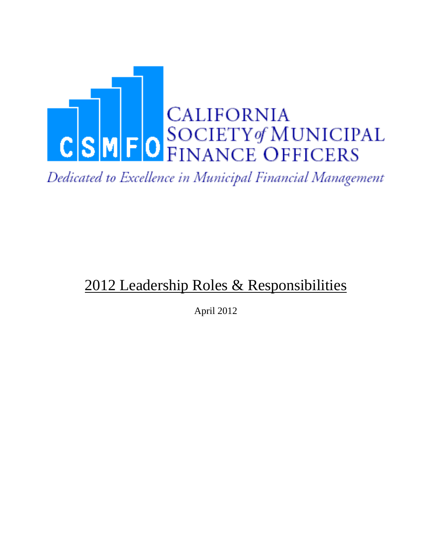

Dedicated to Excellence in Municipal Financial Management

# 2012 Leadership Roles & Responsibilities

April 2012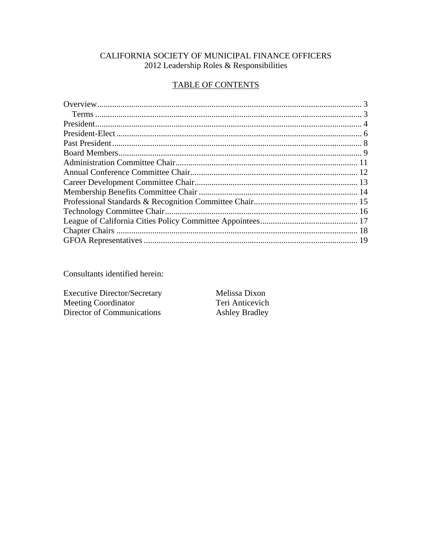#### CALIFORNIA SOCIETY OF MUNICIPAL FINANCE OFFICERS 2012 Leadership Roles & Responsibilities

#### **TABLE OF CONTENTS**

Consultants identified herein:

**Executive Director/Secretary** Meeting Coordinator Director of Communications

Melissa Dixon Teri Anticevich **Ashley Bradley**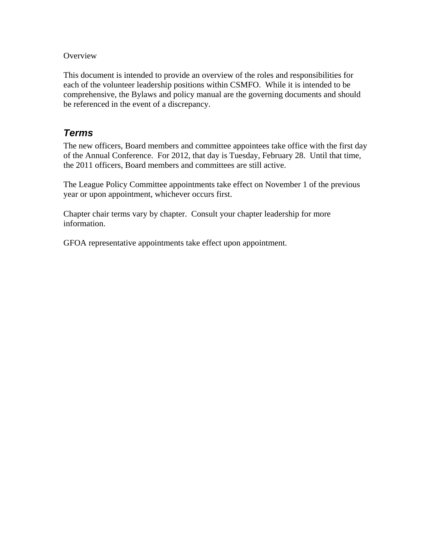#### **Overview**

This document is intended to provide an overview of the roles and responsibilities for each of the volunteer leadership positions within CSMFO. While it is intended to be comprehensive, the Bylaws and policy manual are the governing documents and should be referenced in the event of a discrepancy.

#### *Terms*

The new officers, Board members and committee appointees take office with the first day of the Annual Conference. For 2012, that day is Tuesday, February 28. Until that time, the 2011 officers, Board members and committees are still active.

The League Policy Committee appointments take effect on November 1 of the previous year or upon appointment, whichever occurs first.

Chapter chair terms vary by chapter. Consult your chapter leadership for more information.

GFOA representative appointments take effect upon appointment.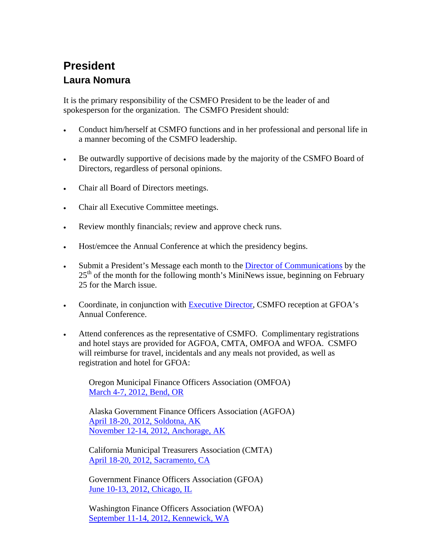## **President Laura Nomura**

It is the primary responsibility of the CSMFO President to be the leader of and spokesperson for the organization. The CSMFO President should:

- Conduct him/herself at CSMFO functions and in her professional and personal life in a manner becoming of the CSMFO leadership.
- Be outwardly supportive of decisions made by the majority of the CSMFO Board of Directors, regardless of personal opinions.
- Chair all Board of Directors meetings.
- Chair all Executive Committee meetings.
- Review monthly financials; review and approve check runs.
- Host/emcee the Annual Conference at which the presidency begins.
- Submit a President's Message each month to the Director of Communications by the  $25<sup>th</sup>$  of the month for the following month's MiniNews issue, beginning on February 25 for the March issue.
- Coordinate, in conjunction with **Executive Director**, CSMFO reception at GFOA's Annual Conference.
- Attend conferences as the representative of CSMFO. Complimentary registrations and hotel stays are provided for AGFOA, CMTA, OMFOA and WFOA. CSMFO will reimburse for travel, incidentals and any meals not provided, as well as registration and hotel for GFOA:

 Oregon Municipal Finance Officers Association (OMFOA) March 4-7, 2012, Bend, OR

 Alaska Government Finance Officers Association (AGFOA) April 18-20, 2012, Soldotna, AK November 12-14, 2012, Anchorage, AK

 California Municipal Treasurers Association (CMTA) April 18-20, 2012, Sacramento, CA

 Government Finance Officers Association (GFOA) June 10-13, 2012, Chicago, IL

 Washington Finance Officers Association (WFOA) September 11-14, 2012, Kennewick, WA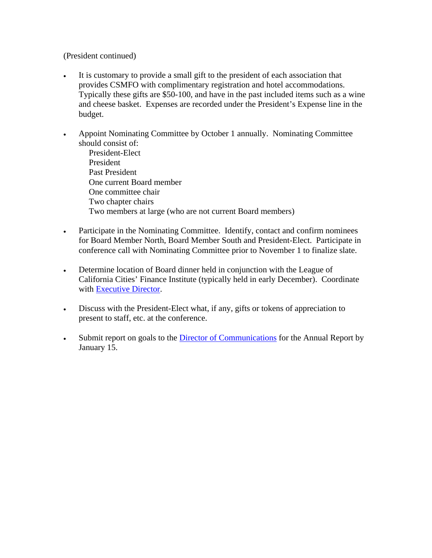(President continued)

- It is customary to provide a small gift to the president of each association that provides CSMFO with complimentary registration and hotel accommodations. Typically these gifts are \$50-100, and have in the past included items such as a wine and cheese basket. Expenses are recorded under the President's Expense line in the budget.
- Appoint Nominating Committee by October 1 annually. Nominating Committee should consist of:

 President-Elect President Past President One current Board member One committee chair Two chapter chairs Two members at large (who are not current Board members)

- Participate in the Nominating Committee. Identify, contact and confirm nominees for Board Member North, Board Member South and President-Elect. Participate in conference call with Nominating Committee prior to November 1 to finalize slate.
- Determine location of Board dinner held in conjunction with the League of California Cities' Finance Institute (typically held in early December). Coordinate with Executive Director.
- Discuss with the President-Elect what, if any, gifts or tokens of appreciation to present to staff, etc. at the conference.
- Submit report on goals to the Director of Communications for the Annual Report by January 15.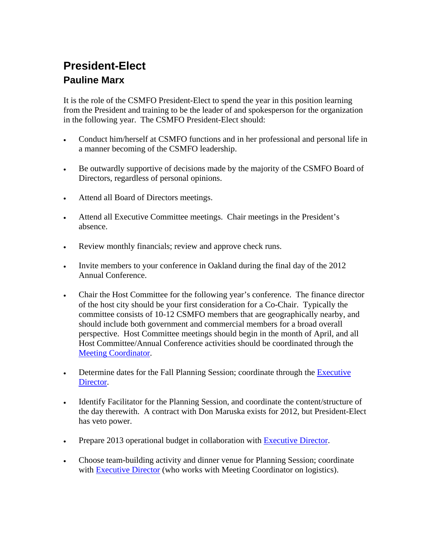### **President-Elect Pauline Marx**

It is the role of the CSMFO President-Elect to spend the year in this position learning from the President and training to be the leader of and spokesperson for the organization in the following year. The CSMFO President-Elect should:

- Conduct him/herself at CSMFO functions and in her professional and personal life in a manner becoming of the CSMFO leadership.
- Be outwardly supportive of decisions made by the majority of the CSMFO Board of Directors, regardless of personal opinions.
- Attend all Board of Directors meetings.
- Attend all Executive Committee meetings. Chair meetings in the President's absence.
- Review monthly financials; review and approve check runs.
- Invite members to your conference in Oakland during the final day of the 2012 Annual Conference.
- Chair the Host Committee for the following year's conference. The finance director of the host city should be your first consideration for a Co-Chair. Typically the committee consists of 10-12 CSMFO members that are geographically nearby, and should include both government and commercial members for a broad overall perspective. Host Committee meetings should begin in the month of April, and all Host Committee/Annual Conference activities should be coordinated through the Meeting Coordinator.
- Determine dates for the Fall Planning Session; coordinate through the Executive Director.
- Identify Facilitator for the Planning Session, and coordinate the content/structure of the day therewith. A contract with Don Maruska exists for 2012, but President-Elect has veto power.
- Prepare 2013 operational budget in collaboration with Executive Director.
- Choose team-building activity and dinner venue for Planning Session; coordinate with Executive Director (who works with Meeting Coordinator on logistics).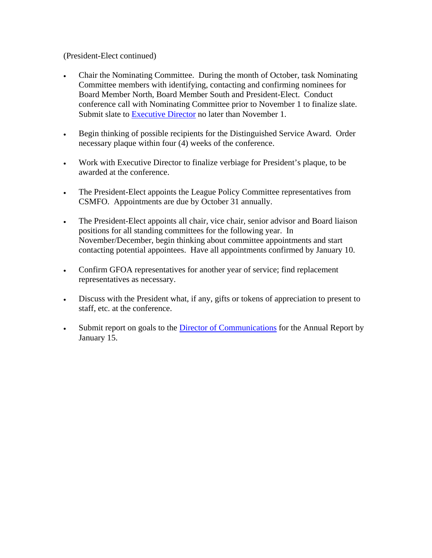(President-Elect continued)

- Chair the Nominating Committee. During the month of October, task Nominating Committee members with identifying, contacting and confirming nominees for Board Member North, Board Member South and President-Elect. Conduct conference call with Nominating Committee prior to November 1 to finalize slate. Submit slate to Executive Director no later than November 1.
- Begin thinking of possible recipients for the Distinguished Service Award. Order necessary plaque within four (4) weeks of the conference.
- Work with Executive Director to finalize verbiage for President's plaque, to be awarded at the conference.
- The President-Elect appoints the League Policy Committee representatives from CSMFO. Appointments are due by October 31 annually.
- The President-Elect appoints all chair, vice chair, senior advisor and Board liaison positions for all standing committees for the following year. In November/December, begin thinking about committee appointments and start contacting potential appointees. Have all appointments confirmed by January 10.
- Confirm GFOA representatives for another year of service; find replacement representatives as necessary.
- Discuss with the President what, if any, gifts or tokens of appreciation to present to staff, etc. at the conference.
- Submit report on goals to the Director of Communications for the Annual Report by January 15.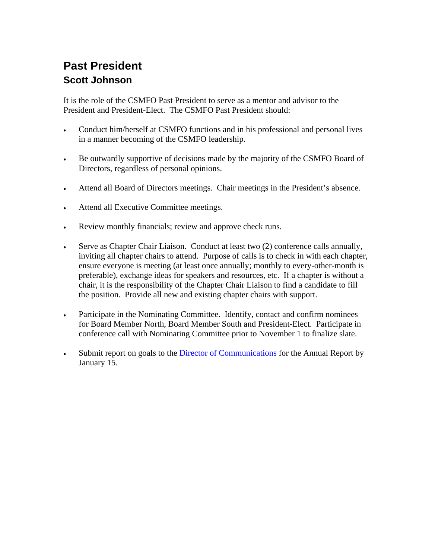### **Past President Scott Johnson**

It is the role of the CSMFO Past President to serve as a mentor and advisor to the President and President-Elect. The CSMFO Past President should:

- Conduct him/herself at CSMFO functions and in his professional and personal lives in a manner becoming of the CSMFO leadership.
- Be outwardly supportive of decisions made by the majority of the CSMFO Board of Directors, regardless of personal opinions.
- Attend all Board of Directors meetings. Chair meetings in the President's absence.
- Attend all Executive Committee meetings.
- Review monthly financials; review and approve check runs.
- Serve as Chapter Chair Liaison. Conduct at least two (2) conference calls annually, inviting all chapter chairs to attend. Purpose of calls is to check in with each chapter, ensure everyone is meeting (at least once annually; monthly to every-other-month is preferable), exchange ideas for speakers and resources, etc. If a chapter is without a chair, it is the responsibility of the Chapter Chair Liaison to find a candidate to fill the position. Provide all new and existing chapter chairs with support.
- Participate in the Nominating Committee. Identify, contact and confirm nominees for Board Member North, Board Member South and President-Elect. Participate in conference call with Nominating Committee prior to November 1 to finalize slate.
- Submit report on goals to the Director of Communications for the Annual Report by January 15.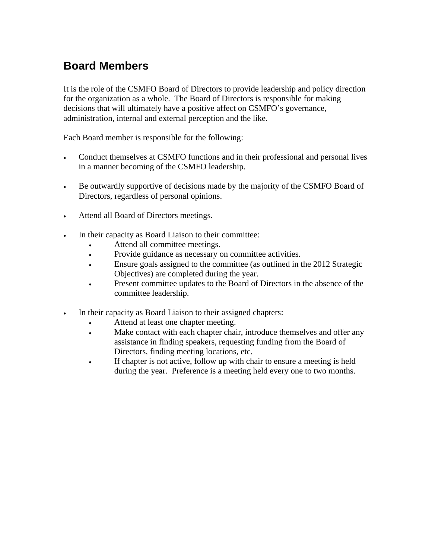#### **Board Members**

It is the role of the CSMFO Board of Directors to provide leadership and policy direction for the organization as a whole. The Board of Directors is responsible for making decisions that will ultimately have a positive affect on CSMFO's governance, administration, internal and external perception and the like.

Each Board member is responsible for the following:

- Conduct themselves at CSMFO functions and in their professional and personal lives in a manner becoming of the CSMFO leadership.
- Be outwardly supportive of decisions made by the majority of the CSMFO Board of Directors, regardless of personal opinions.
- Attend all Board of Directors meetings.
- In their capacity as Board Liaison to their committee:
	- Attend all committee meetings.
	- Provide guidance as necessary on committee activities.
	- Ensure goals assigned to the committee (as outlined in the 2012 Strategic Objectives) are completed during the year.
	- Present committee updates to the Board of Directors in the absence of the committee leadership.
- In their capacity as Board Liaison to their assigned chapters:
	- Attend at least one chapter meeting.
	- Make contact with each chapter chair, introduce themselves and offer any assistance in finding speakers, requesting funding from the Board of Directors, finding meeting locations, etc.
	- If chapter is not active, follow up with chair to ensure a meeting is held during the year. Preference is a meeting held every one to two months.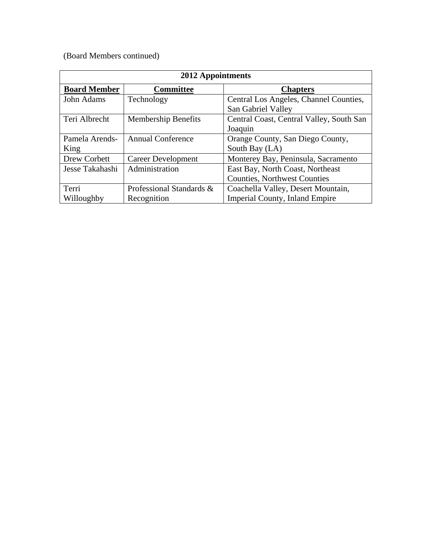(Board Members continued)

| <b>2012</b> Appointments |                            |                                          |  |
|--------------------------|----------------------------|------------------------------------------|--|
| <b>Board Member</b>      | <b>Committee</b>           | <b>Chapters</b>                          |  |
| John Adams               | Technology                 | Central Los Angeles, Channel Counties,   |  |
|                          |                            | San Gabriel Valley                       |  |
| Teri Albrecht            | <b>Membership Benefits</b> | Central Coast, Central Valley, South San |  |
|                          |                            | Joaquin                                  |  |
| Pamela Arends-           | <b>Annual Conference</b>   | Orange County, San Diego County,         |  |
| King                     |                            | South Bay (LA)                           |  |
| Drew Corbett             | Career Development         | Monterey Bay, Peninsula, Sacramento      |  |
| Jesse Takahashi          | Administration             | East Bay, North Coast, Northeast         |  |
|                          |                            | <b>Counties, Northwest Counties</b>      |  |
| Terri                    | Professional Standards &   | Coachella Valley, Desert Mountain,       |  |
| Willoughby               | Recognition                | <b>Imperial County, Inland Empire</b>    |  |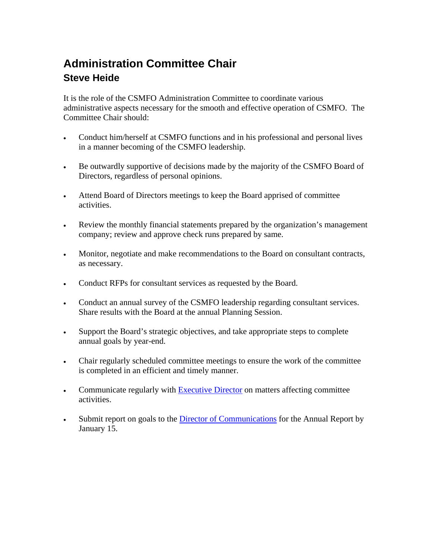### **Administration Committee Chair Steve Heide**

It is the role of the CSMFO Administration Committee to coordinate various administrative aspects necessary for the smooth and effective operation of CSMFO. The Committee Chair should:

- Conduct him/herself at CSMFO functions and in his professional and personal lives in a manner becoming of the CSMFO leadership.
- Be outwardly supportive of decisions made by the majority of the CSMFO Board of Directors, regardless of personal opinions.
- Attend Board of Directors meetings to keep the Board apprised of committee activities.
- Review the monthly financial statements prepared by the organization's management company; review and approve check runs prepared by same.
- Monitor, negotiate and make recommendations to the Board on consultant contracts, as necessary.
- Conduct RFPs for consultant services as requested by the Board.
- Conduct an annual survey of the CSMFO leadership regarding consultant services. Share results with the Board at the annual Planning Session.
- Support the Board's strategic objectives, and take appropriate steps to complete annual goals by year-end.
- Chair regularly scheduled committee meetings to ensure the work of the committee is completed in an efficient and timely manner.
- Communicate regularly with Executive Director on matters affecting committee activities.
- Submit report on goals to the Director of Communications for the Annual Report by January 15.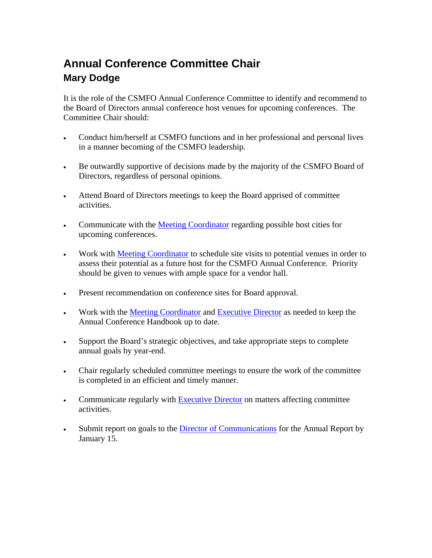### **Annual Conference Committee Chair Mary Dodge**

It is the role of the CSMFO Annual Conference Committee to identify and recommend to the Board of Directors annual conference host venues for upcoming conferences. The Committee Chair should:

- Conduct him/herself at CSMFO functions and in her professional and personal lives in a manner becoming of the CSMFO leadership.
- Be outwardly supportive of decisions made by the majority of the CSMFO Board of Directors, regardless of personal opinions.
- Attend Board of Directors meetings to keep the Board apprised of committee activities.
- Communicate with the Meeting Coordinator regarding possible host cities for upcoming conferences.
- Work with Meeting Coordinator to schedule site visits to potential venues in order to assess their potential as a future host for the CSMFO Annual Conference. Priority should be given to venues with ample space for a vendor hall.
- Present recommendation on conference sites for Board approval.
- Work with the Meeting Coordinator and Executive Director as needed to keep the Annual Conference Handbook up to date.
- Support the Board's strategic objectives, and take appropriate steps to complete annual goals by year-end.
- Chair regularly scheduled committee meetings to ensure the work of the committee is completed in an efficient and timely manner.
- Communicate regularly with Executive Director on matters affecting committee activities.
- Submit report on goals to the Director of Communications for the Annual Report by January 15.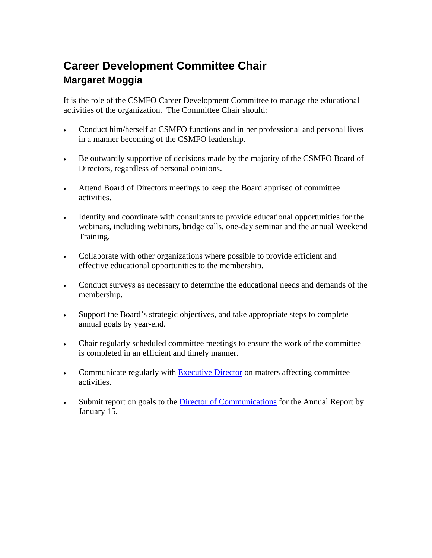### **Career Development Committee Chair Margaret Moggia**

It is the role of the CSMFO Career Development Committee to manage the educational activities of the organization. The Committee Chair should:

- Conduct him/herself at CSMFO functions and in her professional and personal lives in a manner becoming of the CSMFO leadership.
- Be outwardly supportive of decisions made by the majority of the CSMFO Board of Directors, regardless of personal opinions.
- Attend Board of Directors meetings to keep the Board apprised of committee activities.
- Identify and coordinate with consultants to provide educational opportunities for the webinars, including webinars, bridge calls, one-day seminar and the annual Weekend Training.
- Collaborate with other organizations where possible to provide efficient and effective educational opportunities to the membership.
- Conduct surveys as necessary to determine the educational needs and demands of the membership.
- Support the Board's strategic objectives, and take appropriate steps to complete annual goals by year-end.
- Chair regularly scheduled committee meetings to ensure the work of the committee is completed in an efficient and timely manner.
- Communicate regularly with Executive Director on matters affecting committee activities.
- Submit report on goals to the Director of Communications for the Annual Report by January 15.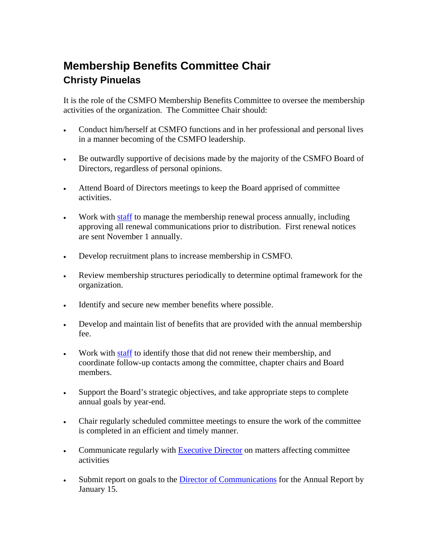### **Membership Benefits Committee Chair Christy Pinuelas**

It is the role of the CSMFO Membership Benefits Committee to oversee the membership activities of the organization. The Committee Chair should:

- Conduct him/herself at CSMFO functions and in her professional and personal lives in a manner becoming of the CSMFO leadership.
- Be outwardly supportive of decisions made by the majority of the CSMFO Board of Directors, regardless of personal opinions.
- Attend Board of Directors meetings to keep the Board apprised of committee activities.
- Work with staff to manage the membership renewal process annually, including approving all renewal communications prior to distribution. First renewal notices are sent November 1 annually.
- Develop recruitment plans to increase membership in CSMFO.
- Review membership structures periodically to determine optimal framework for the organization.
- Identify and secure new member benefits where possible.
- Develop and maintain list of benefits that are provided with the annual membership fee.
- Work with staff to identify those that did not renew their membership, and coordinate follow-up contacts among the committee, chapter chairs and Board members.
- Support the Board's strategic objectives, and take appropriate steps to complete annual goals by year-end.
- Chair regularly scheduled committee meetings to ensure the work of the committee is completed in an efficient and timely manner.
- Communicate regularly with Executive Director on matters affecting committee activities
- Submit report on goals to the Director of Communications for the Annual Report by January 15.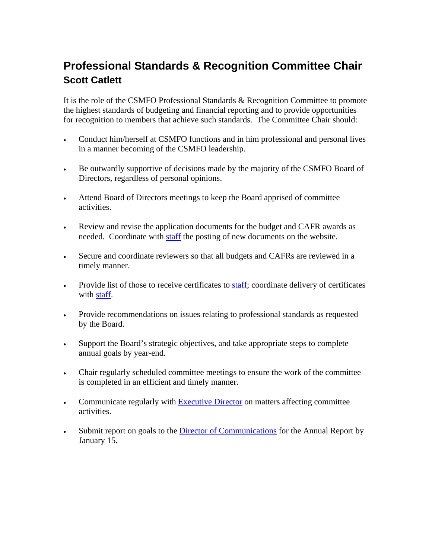#### **Professional Standards & Recognition Committee Chair Scott Catlett**

It is the role of the CSMFO Professional Standards & Recognition Committee to promote the highest standards of budgeting and financial reporting and to provide opportunities for recognition to members that achieve such standards. The Committee Chair should:

- Conduct him/herself at CSMFO functions and in him professional and personal lives in a manner becoming of the CSMFO leadership.
- Be outwardly supportive of decisions made by the majority of the CSMFO Board of Directors, regardless of personal opinions.
- Attend Board of Directors meetings to keep the Board apprised of committee activities.
- Review and revise the application documents for the budget and CAFR awards as needed. Coordinate with staff the posting of new documents on the website.
- Secure and coordinate reviewers so that all budgets and CAFRs are reviewed in a timely manner.
- Provide list of those to receive certificates to **staff**; coordinate delivery of certificates with staff.
- Provide recommendations on issues relating to professional standards as requested by the Board.
- Support the Board's strategic objectives, and take appropriate steps to complete annual goals by year-end.
- Chair regularly scheduled committee meetings to ensure the work of the committee is completed in an efficient and timely manner.
- Communicate regularly with Executive Director on matters affecting committee activities.
- Submit report on goals to the Director of Communications for the Annual Report by January 15.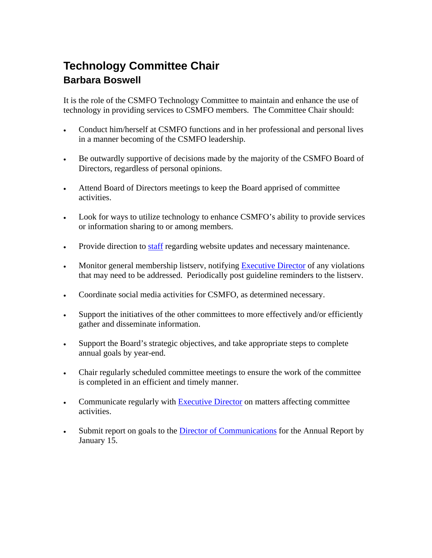### **Technology Committee Chair Barbara Boswell**

It is the role of the CSMFO Technology Committee to maintain and enhance the use of technology in providing services to CSMFO members. The Committee Chair should:

- Conduct him/herself at CSMFO functions and in her professional and personal lives in a manner becoming of the CSMFO leadership.
- Be outwardly supportive of decisions made by the majority of the CSMFO Board of Directors, regardless of personal opinions.
- Attend Board of Directors meetings to keep the Board apprised of committee activities.
- Look for ways to utilize technology to enhance CSMFO's ability to provide services or information sharing to or among members.
- Provide direction to staff regarding website updates and necessary maintenance.
- Monitor general membership listserv, notifying Executive Director of any violations that may need to be addressed. Periodically post guideline reminders to the listserv.
- Coordinate social media activities for CSMFO, as determined necessary.
- Support the initiatives of the other committees to more effectively and/or efficiently gather and disseminate information.
- Support the Board's strategic objectives, and take appropriate steps to complete annual goals by year-end.
- Chair regularly scheduled committee meetings to ensure the work of the committee is completed in an efficient and timely manner.
- Communicate regularly with Executive Director on matters affecting committee activities.
- Submit report on goals to the Director of Communications for the Annual Report by January 15.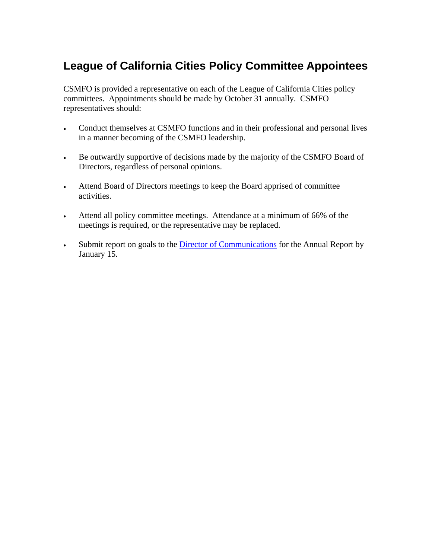#### **League of California Cities Policy Committee Appointees**

CSMFO is provided a representative on each of the League of California Cities policy committees. Appointments should be made by October 31 annually. CSMFO representatives should:

- Conduct themselves at CSMFO functions and in their professional and personal lives in a manner becoming of the CSMFO leadership.
- Be outwardly supportive of decisions made by the majority of the CSMFO Board of Directors, regardless of personal opinions.
- Attend Board of Directors meetings to keep the Board apprised of committee activities.
- Attend all policy committee meetings. Attendance at a minimum of 66% of the meetings is required, or the representative may be replaced.
- Submit report on goals to the Director of Communications for the Annual Report by January 15.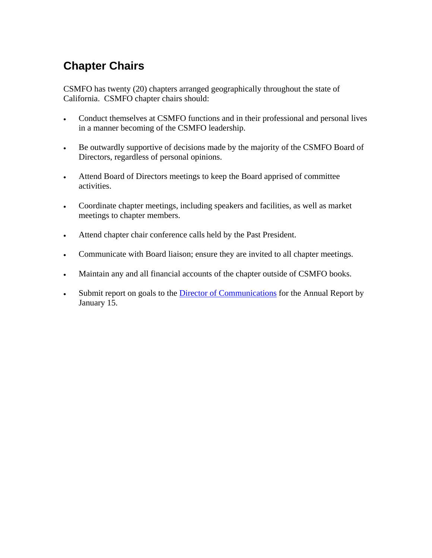## **Chapter Chairs**

CSMFO has twenty (20) chapters arranged geographically throughout the state of California. CSMFO chapter chairs should:

- Conduct themselves at CSMFO functions and in their professional and personal lives in a manner becoming of the CSMFO leadership.
- Be outwardly supportive of decisions made by the majority of the CSMFO Board of Directors, regardless of personal opinions.
- Attend Board of Directors meetings to keep the Board apprised of committee activities.
- Coordinate chapter meetings, including speakers and facilities, as well as market meetings to chapter members.
- Attend chapter chair conference calls held by the Past President.
- Communicate with Board liaison; ensure they are invited to all chapter meetings.
- Maintain any and all financial accounts of the chapter outside of CSMFO books.
- Submit report on goals to the Director of Communications for the Annual Report by January 15.